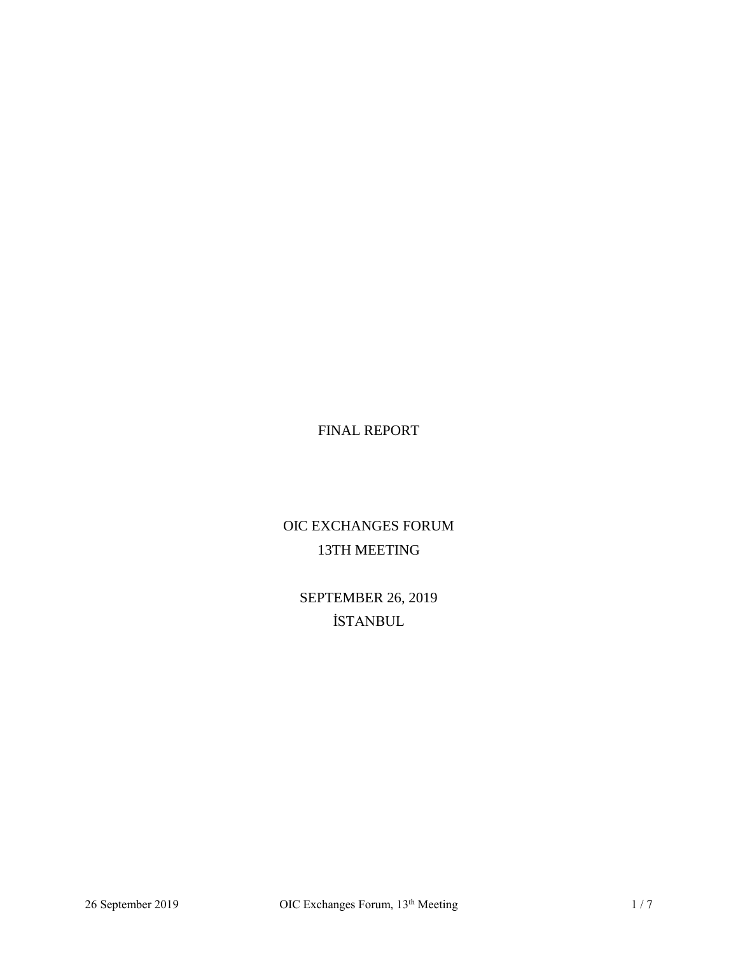# FINAL REPORT

OIC EXCHANGES FORUM 13TH MEETING

SEPTEMBER 26, 2019 İSTANBUL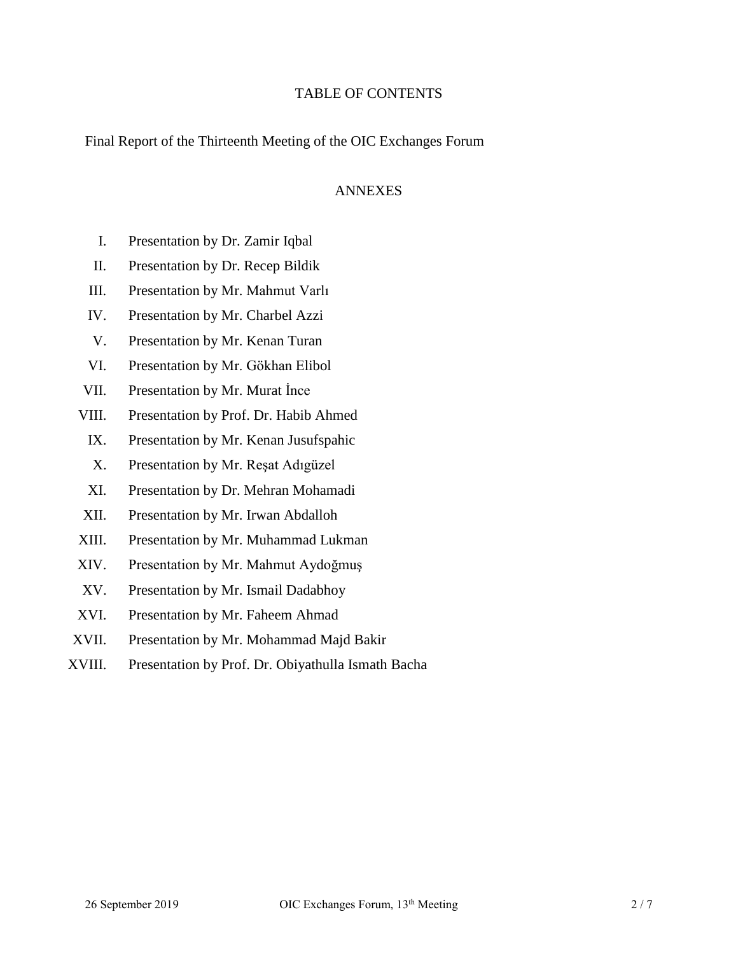## TABLE OF CONTENTS

Final Report of the Thirteenth Meeting of the OIC Exchanges Forum

## ANNEXES

- I. Presentation by Dr. Zamir Iqbal
- II. Presentation by Dr. Recep Bildik
- III. Presentation by Mr. Mahmut Varlı
- IV. Presentation by Mr. Charbel Azzi
- V. Presentation by Mr. Kenan Turan
- VI. Presentation by Mr. Gökhan Elibol
- VII. Presentation by Mr. Murat İnce
- VIII. Presentation by Prof. Dr. Habib Ahmed
- IX. Presentation by Mr. Kenan Jusufspahic
- X. Presentation by Mr. Reşat Adıgüzel
- XI. Presentation by Dr. Mehran Mohamadi
- XII. Presentation by Mr. Irwan Abdalloh
- XIII. Presentation by Mr. Muhammad Lukman
- XIV. Presentation by Mr. Mahmut Aydoğmuş
- XV. Presentation by Mr. Ismail Dadabhoy
- XVI. Presentation by Mr. Faheem Ahmad
- XVII. Presentation by Mr. Mohammad Majd Bakir
- XVIII. Presentation by Prof. Dr. Obiyathulla Ismath Bacha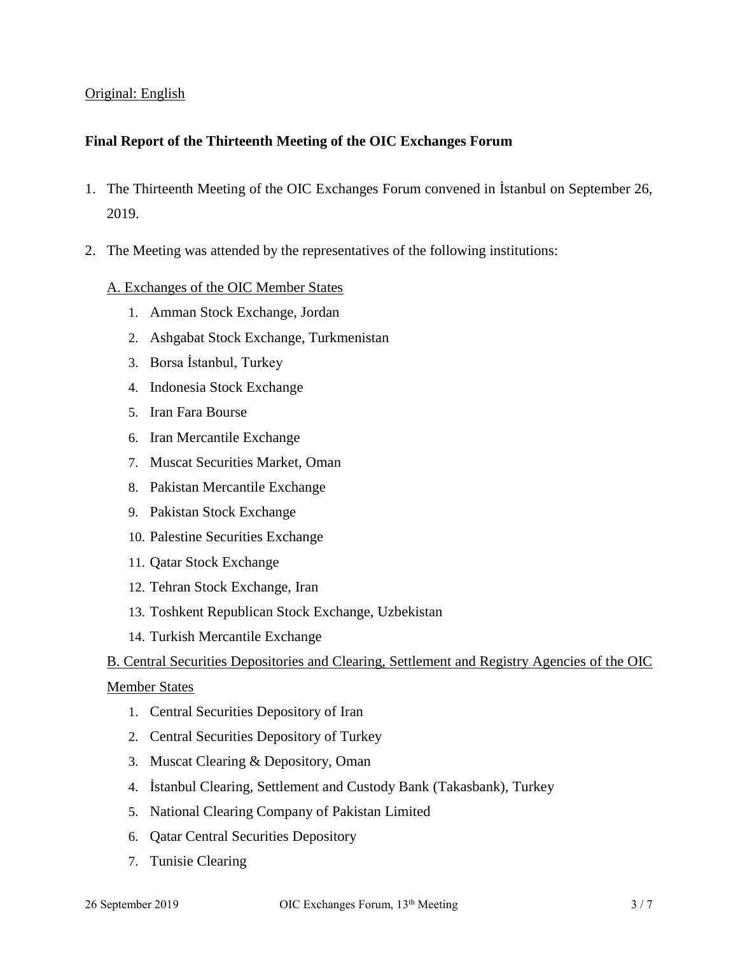## Original: English

## **Final Report of the Thirteenth Meeting of the OIC Exchanges Forum**

- 1. The Thirteenth Meeting of the OIC Exchanges Forum convened in İstanbul on September 26, 2019.
- 2. The Meeting was attended by the representatives of the following institutions:

## A. Exchanges of the OIC Member States

- 1. Amman Stock Exchange, Jordan
- 2. Ashgabat Stock Exchange, Turkmenistan
- 3. Borsa İstanbul, Turkey
- 4. Indonesia Stock Exchange
- 5. Iran Fara Bourse
- 6. Iran Mercantile Exchange
- 7. Muscat Securities Market, Oman
- 8. Pakistan Mercantile Exchange
- 9. Pakistan Stock Exchange
- 10. Palestine Securities Exchange
- 11. Qatar Stock Exchange
- 12. Tehran Stock Exchange, Iran
- 13. Toshkent Republican Stock Exchange, Uzbekistan
- 14. Turkish Mercantile Exchange

## B. Central Securities Depositories and Clearing, Settlement and Registry Agencies of the OIC

## Member States

- 1. Central Securities Depository of Iran
- 2. Central Securities Depository of Turkey
- 3. Muscat Clearing & Depository, Oman
- 4. İstanbul Clearing, Settlement and Custody Bank (Takasbank), Turkey
- 5. National Clearing Company of Pakistan Limited
- 6. Qatar Central Securities Depository
- 7. Tunisie Clearing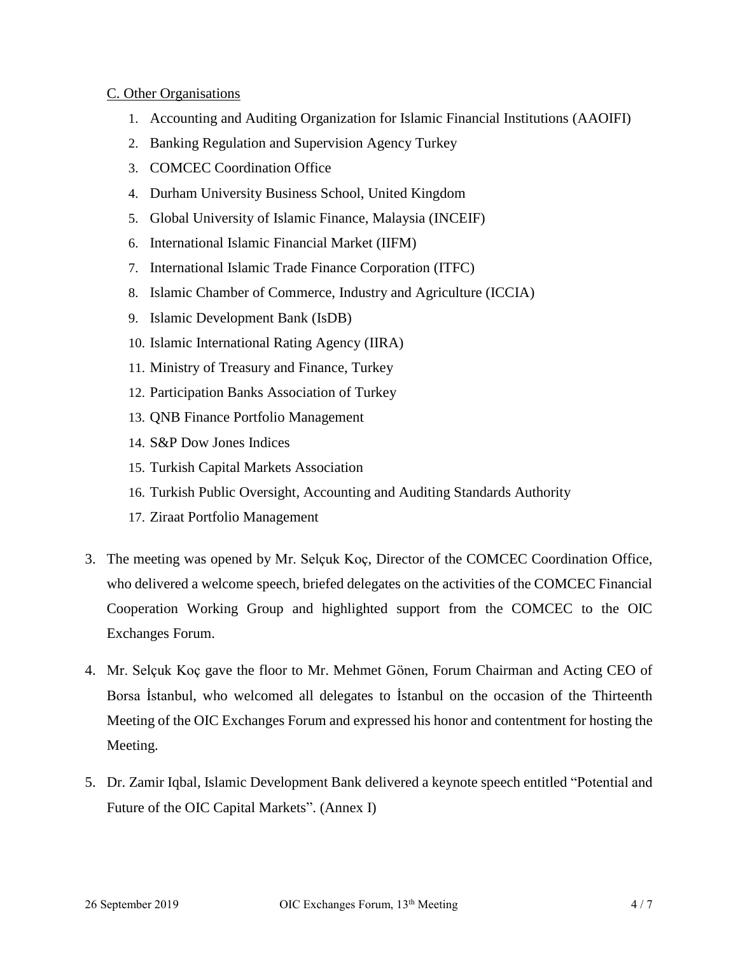## C. Other Organisations

- 1. Accounting and Auditing Organization for Islamic Financial Institutions (AAOIFI)
- 2. Banking Regulation and Supervision Agency Turkey
- 3. COMCEC Coordination Office
- 4. Durham University Business School, United Kingdom
- 5. Global University of Islamic Finance, Malaysia (INCEIF)
- 6. International Islamic Financial Market (IIFM)
- 7. International Islamic Trade Finance Corporation (ITFC)
- 8. Islamic Chamber of Commerce, Industry and Agriculture (ICCIA)
- 9. Islamic Development Bank (IsDB)
- 10. Islamic International Rating Agency (IIRA)
- 11. Ministry of Treasury and Finance, Turkey
- 12. Participation Banks Association of Turkey
- 13. QNB Finance Portfolio Management
- 14. S&P Dow Jones Indices
- 15. Turkish Capital Markets Association
- 16. Turkish Public Oversight, Accounting and Auditing Standards Authority
- 17. Ziraat Portfolio Management
- 3. The meeting was opened by Mr. Selçuk Koç, Director of the COMCEC Coordination Office, who delivered a welcome speech, briefed delegates on the activities of the COMCEC Financial Cooperation Working Group and highlighted support from the COMCEC to the OIC Exchanges Forum.
- 4. Mr. Selçuk Koç gave the floor to Mr. Mehmet Gönen, Forum Chairman and Acting CEO of Borsa İstanbul, who welcomed all delegates to İstanbul on the occasion of the Thirteenth Meeting of the OIC Exchanges Forum and expressed his honor and contentment for hosting the Meeting.
- 5. Dr. Zamir Iqbal, Islamic Development Bank delivered a keynote speech entitled "Potential and Future of the OIC Capital Markets". (Annex I)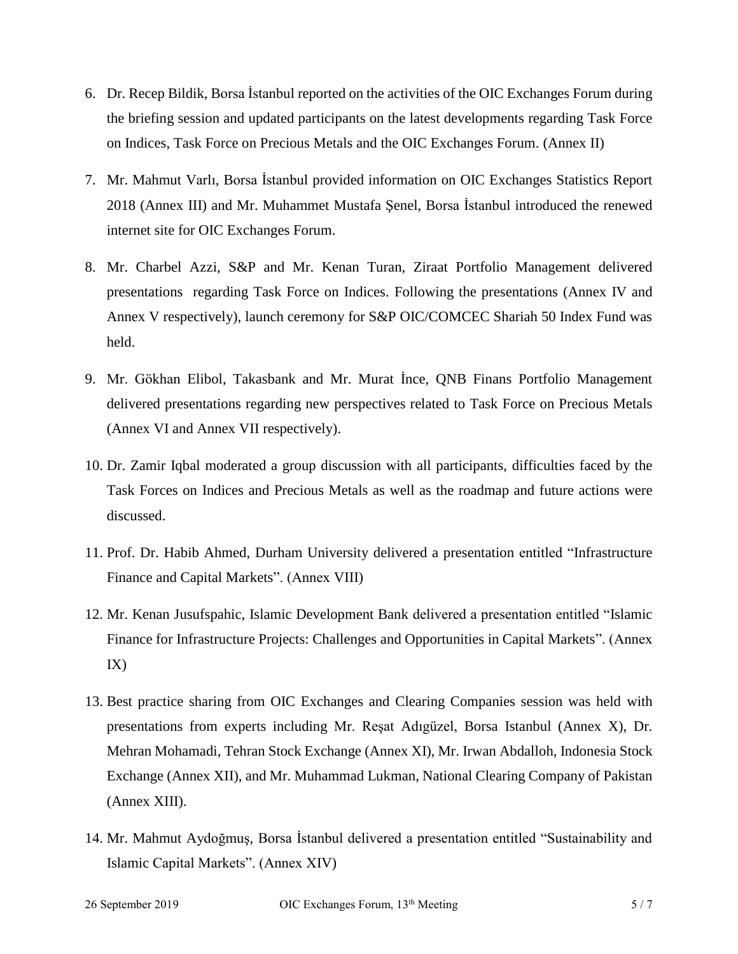- 6. Dr. Recep Bildik, Borsa İstanbul reported on the activities of the OIC Exchanges Forum during the briefing session and updated participants on the latest developments regarding Task Force on Indices, Task Force on Precious Metals and the OIC Exchanges Forum. (Annex II)
- 7. Mr. Mahmut Varlı, Borsa İstanbul provided information on OIC Exchanges Statistics Report 2018 (Annex III) and Mr. Muhammet Mustafa Şenel, Borsa İstanbul introduced the renewed internet site for OIC Exchanges Forum.
- 8. Mr. Charbel Azzi, S&P and Mr. Kenan Turan, Ziraat Portfolio Management delivered presentations regarding Task Force on Indices. Following the presentations (Annex IV and Annex V respectively), launch ceremony for S&P OIC/COMCEC Shariah 50 Index Fund was held.
- 9. Mr. Gökhan Elibol, Takasbank and Mr. Murat İnce, QNB Finans Portfolio Management delivered presentations regarding new perspectives related to Task Force on Precious Metals (Annex VI and Annex VII respectively).
- 10. Dr. Zamir Iqbal moderated a group discussion with all participants, difficulties faced by the Task Forces on Indices and Precious Metals as well as the roadmap and future actions were discussed.
- 11. Prof. Dr. Habib Ahmed, Durham University delivered a presentation entitled "Infrastructure Finance and Capital Markets". (Annex VIII)
- 12. Mr. Kenan Jusufspahic, Islamic Development Bank delivered a presentation entitled "Islamic Finance for Infrastructure Projects: Challenges and Opportunities in Capital Markets". (Annex IX)
- 13. Best practice sharing from OIC Exchanges and Clearing Companies session was held with presentations from experts including Mr. Reşat Adıgüzel, Borsa Istanbul (Annex X), Dr. Mehran Mohamadi, Tehran Stock Exchange (Annex XI), Mr. Irwan Abdalloh, Indonesia Stock Exchange (Annex XII), and Mr. Muhammad Lukman, National Clearing Company of Pakistan (Annex XIII).
- 14. Mr. Mahmut Aydoğmuş, Borsa İstanbul delivered a presentation entitled "Sustainability and Islamic Capital Markets". (Annex XIV)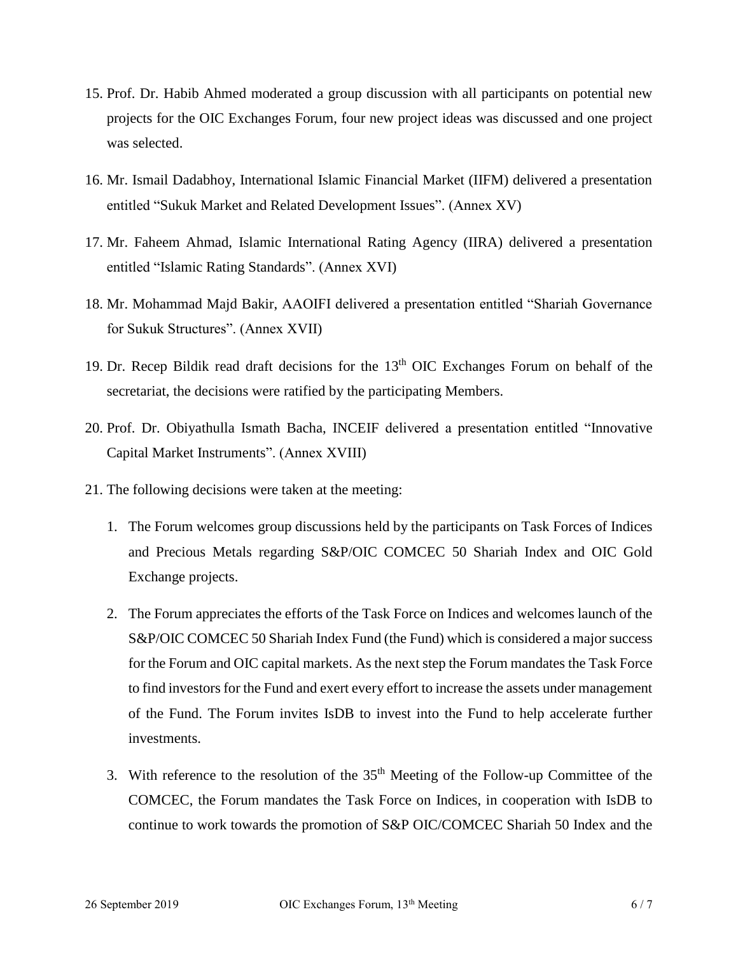- 15. Prof. Dr. Habib Ahmed moderated a group discussion with all participants on potential new projects for the OIC Exchanges Forum, four new project ideas was discussed and one project was selected.
- 16. Mr. Ismail Dadabhoy, International Islamic Financial Market (IIFM) delivered a presentation entitled "Sukuk Market and Related Development Issues". (Annex XV)
- 17. Mr. Faheem Ahmad, Islamic International Rating Agency (IIRA) delivered a presentation entitled "Islamic Rating Standards". (Annex XVI)
- 18. Mr. Mohammad Majd Bakir, AAOIFI delivered a presentation entitled "Shariah Governance for Sukuk Structures". (Annex XVII)
- 19. Dr. Recep Bildik read draft decisions for the  $13<sup>th</sup>$  OIC Exchanges Forum on behalf of the secretariat, the decisions were ratified by the participating Members.
- 20. Prof. Dr. Obiyathulla Ismath Bacha, INCEIF delivered a presentation entitled "Innovative Capital Market Instruments". (Annex XVIII)
- 21. The following decisions were taken at the meeting:
	- 1. The Forum welcomes group discussions held by the participants on Task Forces of Indices and Precious Metals regarding S&P/OIC COMCEC 50 Shariah Index and OIC Gold Exchange projects.
	- 2. The Forum appreciates the efforts of the Task Force on Indices and welcomes launch of the S&P/OIC COMCEC 50 Shariah Index Fund (the Fund) which is considered a major success for the Forum and OIC capital markets. As the next step the Forum mandates the Task Force to find investors for the Fund and exert every effort to increase the assets under management of the Fund. The Forum invites IsDB to invest into the Fund to help accelerate further investments.
	- 3. With reference to the resolution of the  $35<sup>th</sup>$  Meeting of the Follow-up Committee of the COMCEC, the Forum mandates the Task Force on Indices, in cooperation with IsDB to continue to work towards the promotion of S&P OIC/COMCEC Shariah 50 Index and the